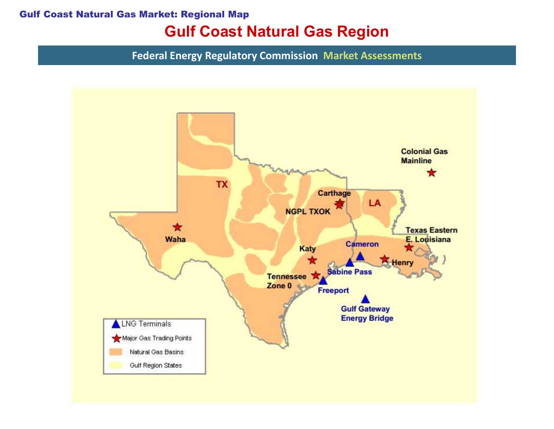#### Gulf Coast Natural Gas Market: Regional Map

## Gulf Coast Natural Gas Region

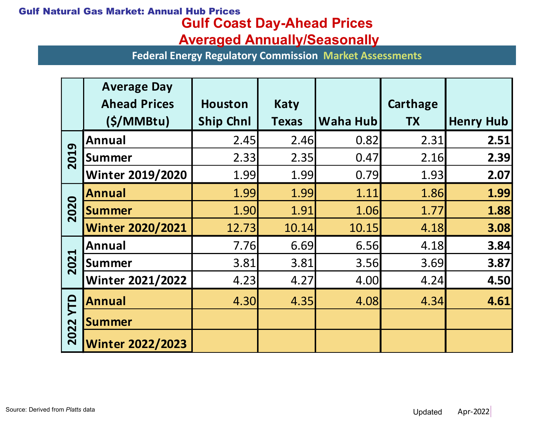### Gulf Coast Day-Ahead Prices Gulf Natural Gas Market: Annual Hub Prices

### Averaged Annually/Seasonally

| ural Gas Market: Annual Hub Prices<br><b>Gulf Coast Day-Ahead Prices</b><br><b>Averaged Annually/Seasonally</b> |                                                     |                                                                |                      |          |                       |                  |
|-----------------------------------------------------------------------------------------------------------------|-----------------------------------------------------|----------------------------------------------------------------|----------------------|----------|-----------------------|------------------|
|                                                                                                                 |                                                     | <b>Federal Energy Regulatory Commission Market Assessments</b> |                      |          |                       |                  |
|                                                                                                                 | <b>Average Day</b><br><b>Ahead Prices</b><br>(S/MM) | <b>Houston</b><br><b>Ship Chnl</b>                             | Katy<br><b>Texas</b> | Waha Hub | Carthage<br><b>TX</b> | <b>Henry Hub</b> |
| 2019                                                                                                            | Annual                                              | 2.45                                                           | 2.46                 | 0.82     | 2.31                  | 2.51             |
|                                                                                                                 | Summer                                              | 2.33                                                           | 2.35                 | 0.47     | 2.16                  | 2.39             |
|                                                                                                                 | <b>Winter 2019/2020</b>                             | 1.99                                                           | 1.99                 | 0.79     | 1.93                  | 2.07             |
| 2020                                                                                                            | <b>Annual</b>                                       | 1.99                                                           | 1.99                 | 1.11     | 1.86                  | 1.99             |
|                                                                                                                 | Summer                                              | 1.90                                                           | 1.91                 | 1.06     | 1.77                  | 1.88             |
|                                                                                                                 | <b>Winter 2020/2021</b>                             | 12.73                                                          | 10.14                | 10.15    | 4.18                  | 3.08             |
| <b>Z1</b><br>20                                                                                                 | Annual                                              | 7.76                                                           | 6.69                 | 6.56     | 4.18                  | 3.84             |
|                                                                                                                 | Summer                                              | 3.81                                                           | 3.81                 | 3.56     | 3.69                  | 3.87             |
|                                                                                                                 | <b>Winter 2021/2022</b>                             | 4.23                                                           | 4.27                 | 4.00     | 4.24                  | 4.50             |
| <b>TTD</b><br>2022                                                                                              | <b>Annual</b>                                       | 4.30                                                           | 4.35                 | 4.08     | 4.34                  | 4.61             |
|                                                                                                                 | <b>Summer</b>                                       |                                                                |                      |          |                       |                  |
|                                                                                                                 | <b>Winter 2022/2023</b>                             |                                                                |                      |          |                       |                  |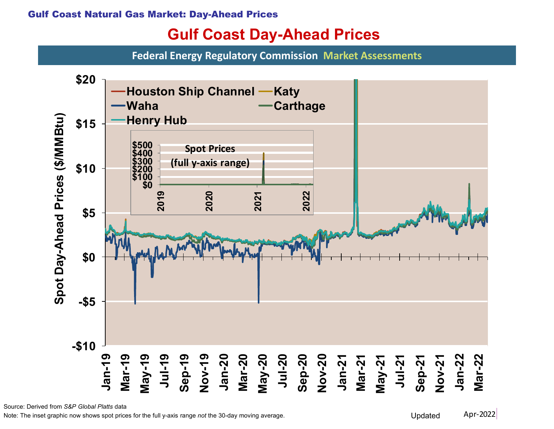# Gulf Coast Day-Ahead Prices

Federal Energy Regulatory Commission Market Assessments



Source: Derived from S&P Global Platts data

Note: The inset graphic now shows spot prices for the full y-axis range not the 30-day moving average. Updated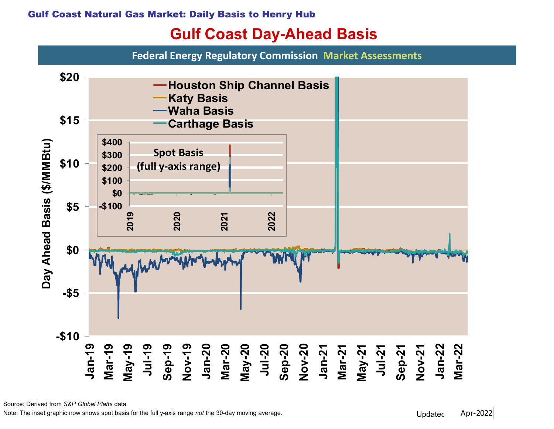### Gulf Coast Day-Ahead Basis

Federal Energy Regulatory Commission Market Assessments



Source: Derived from S&P Global Platts data

Note: The inset graphic now shows spot basis for the full y-axis range *not* the 30-day moving average. Note: The inset graphic now shows spot basis for the full y-axis range *not* the 30-day moving average.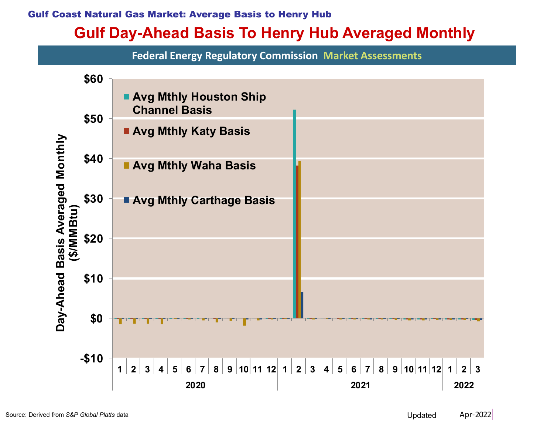#### Gulf Coast Natural Gas Market: Average Basis to Henry Hub

## Gulf Day-Ahead Basis To Henry Hub Averaged Monthly

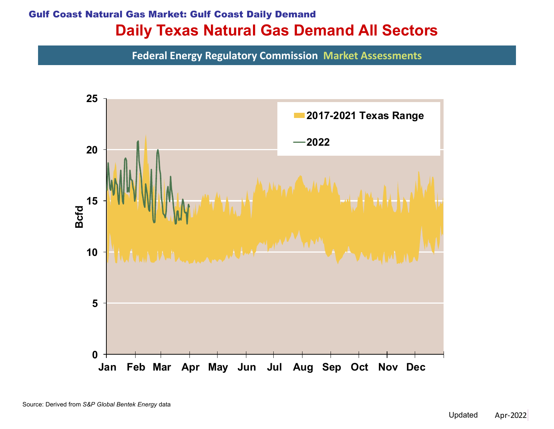### Daily Texas Natural Gas Demand All Sectors Gulf Coast Natural Gas Market: Gulf Coast Daily Demand